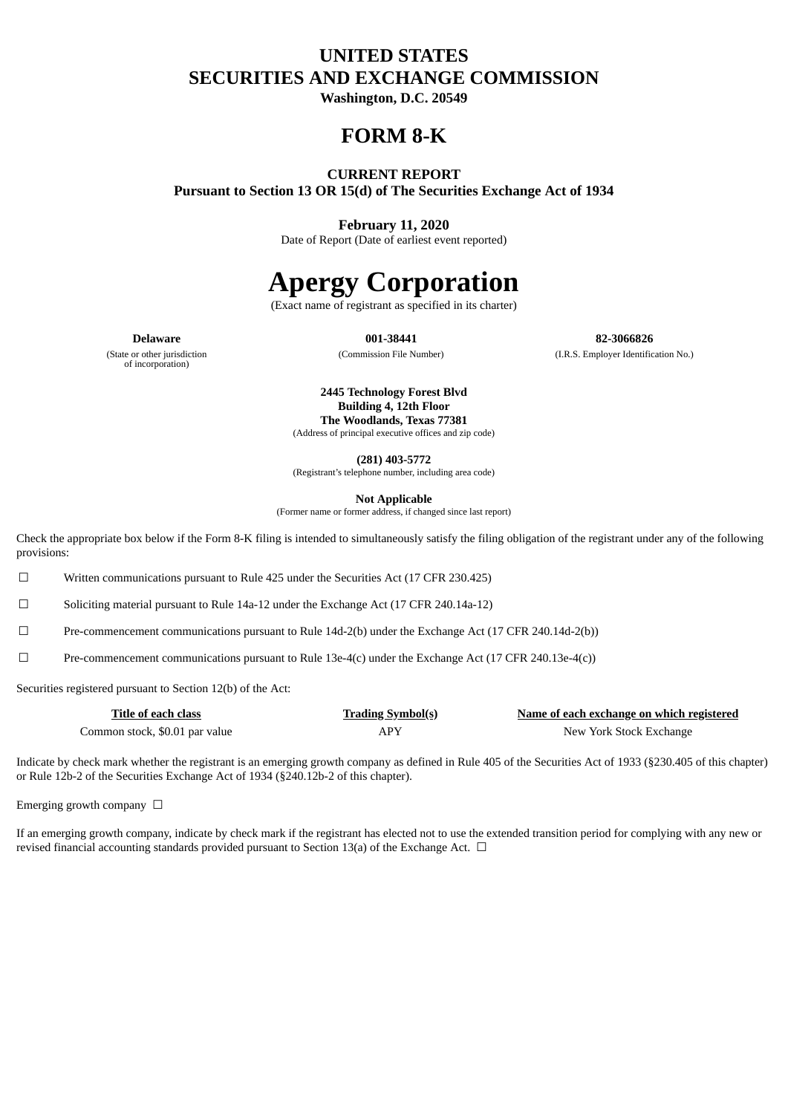# **UNITED STATES SECURITIES AND EXCHANGE COMMISSION**

**Washington, D.C. 20549**

# **FORM 8-K**

# **CURRENT REPORT**

**Pursuant to Section 13 OR 15(d) of The Securities Exchange Act of 1934**

## **February 11, 2020**

Date of Report (Date of earliest event reported)

# **Apergy Corporation**

(Exact name of registrant as specified in its charter)

**Delaware 001-38441 82-3066826** (Commission File Number) (I.R.S. Employer Identification No.)

(State or other jurisdiction of incorporation)

**2445 Technology Forest Blvd Building 4, 12th Floor The Woodlands, Texas 77381** (Address of principal executive offices and zip code)

**(281) 403-5772**

(Registrant's telephone number, including area code)

**Not Applicable**

(Former name or former address, if changed since last report)

Check the appropriate box below if the Form 8-K filing is intended to simultaneously satisfy the filing obligation of the registrant under any of the following provisions:

☐ Written communications pursuant to Rule 425 under the Securities Act (17 CFR 230.425)

☐ Soliciting material pursuant to Rule 14a-12 under the Exchange Act (17 CFR 240.14a-12)

☐ Pre-commencement communications pursuant to Rule 14d-2(b) under the Exchange Act (17 CFR 240.14d-2(b))

☐ Pre-commencement communications pursuant to Rule 13e-4(c) under the Exchange Act (17 CFR 240.13e-4(c))

Securities registered pursuant to Section 12(b) of the Act:

| Title of each class            | <b>Trading Symbol(s)</b> | Name of each exchange on which registered |
|--------------------------------|--------------------------|-------------------------------------------|
| Common stock, \$0.01 par value | APY                      | New York Stock Exchange                   |

Indicate by check mark whether the registrant is an emerging growth company as defined in Rule 405 of the Securities Act of 1933 (§230.405 of this chapter) or Rule 12b-2 of the Securities Exchange Act of 1934 (§240.12b-2 of this chapter).

Emerging growth company  $\Box$ 

If an emerging growth company, indicate by check mark if the registrant has elected not to use the extended transition period for complying with any new or revised financial accounting standards provided pursuant to Section 13(a) of the Exchange Act.  $\Box$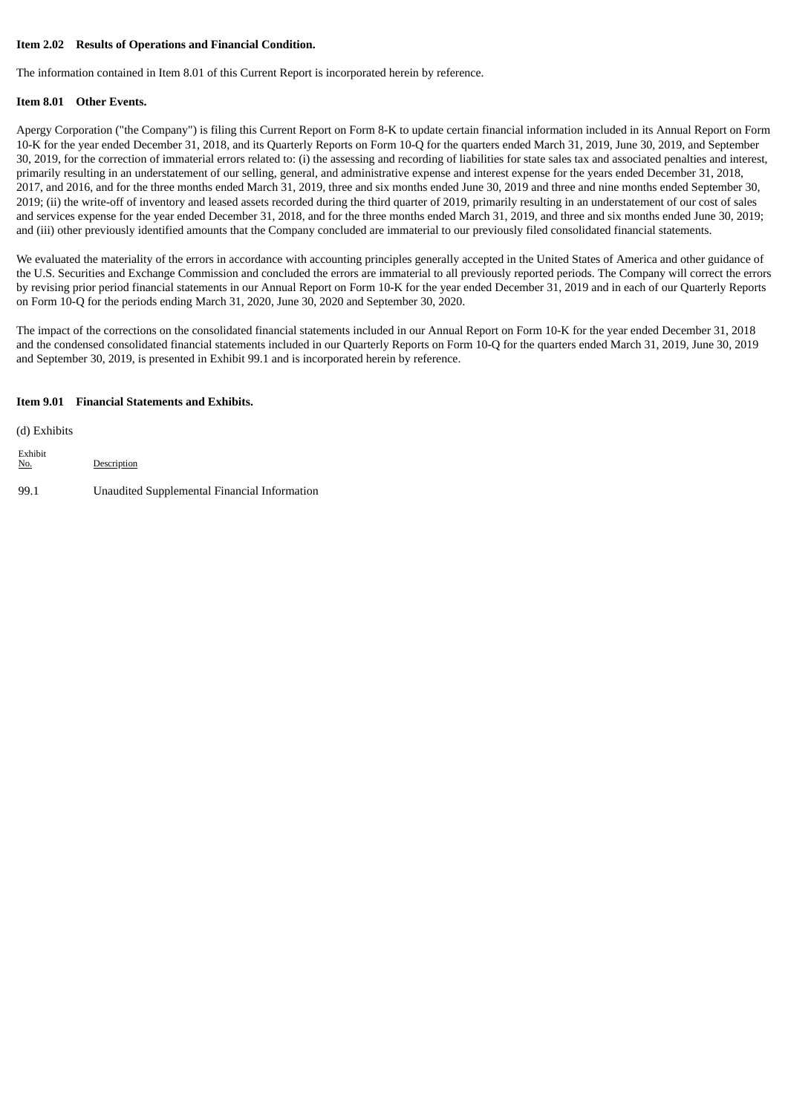#### **Item 2.02 Results of Operations and Financial Condition.**

The information contained in Item 8.01 of this Current Report is incorporated herein by reference.

#### **Item 8.01 Other Events.**

Apergy Corporation ("the Company") is filing this Current Report on Form 8-K to update certain financial information included in its Annual Report on Form 10-K for the year ended December 31, 2018, and its Quarterly Reports on Form 10-Q for the quarters ended March 31, 2019, June 30, 2019, and September 30, 2019, for the correction of immaterial errors related to: (i) the assessing and recording of liabilities for state sales tax and associated penalties and interest, primarily resulting in an understatement of our selling, general, and administrative expense and interest expense for the years ended December 31, 2018, 2017, and 2016, and for the three months ended March 31, 2019, three and six months ended June 30, 2019 and three and nine months ended September 30, 2019; (ii) the write-off of inventory and leased assets recorded during the third quarter of 2019, primarily resulting in an understatement of our cost of sales and services expense for the year ended December 31, 2018, and for the three months ended March 31, 2019, and three and six months ended June 30, 2019; and (iii) other previously identified amounts that the Company concluded are immaterial to our previously filed consolidated financial statements.

We evaluated the materiality of the errors in accordance with accounting principles generally accepted in the United States of America and other guidance of the U.S. Securities and Exchange Commission and concluded the errors are immaterial to all previously reported periods. The Company will correct the errors by revising prior period financial statements in our Annual Report on Form 10-K for the year ended December 31, 2019 and in each of our Quarterly Reports on Form 10-Q for the periods ending March 31, 2020, June 30, 2020 and September 30, 2020.

The impact of the corrections on the consolidated financial statements included in our Annual Report on Form 10-K for the year ended December 31, 2018 and the condensed consolidated financial statements included in our Quarterly Reports on Form 10-Q for the quarters ended March 31, 2019, June 30, 2019 and September 30, 2019, is presented in Exhibit 99.1 and is incorporated herein by reference.

#### **Item 9.01 Financial Statements and Exhibits.**

| (d) Exhibits          |                                              |
|-----------------------|----------------------------------------------|
| Exhibit<br><u>No.</u> | Description                                  |
| -99.1                 | Unaudited Supplemental Financial Information |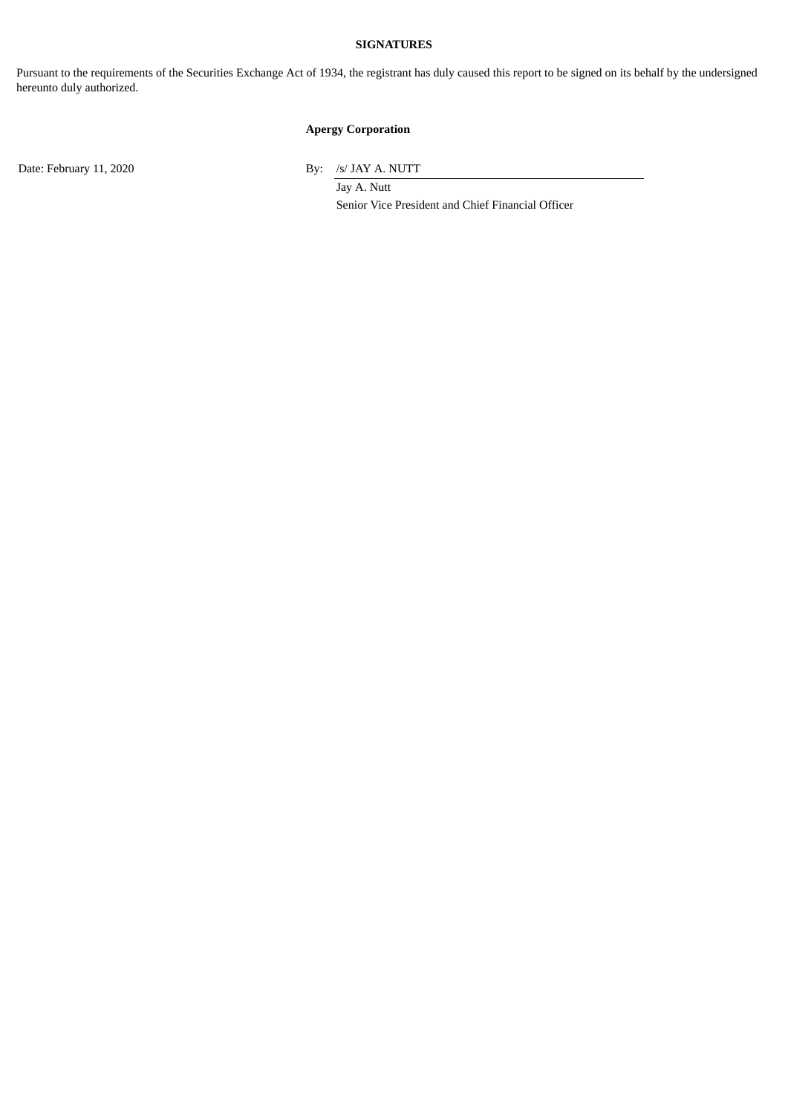## **SIGNATURES**

Pursuant to the requirements of the Securities Exchange Act of 1934, the registrant has duly caused this report to be signed on its behalf by the undersigned hereunto duly authorized.

# **Apergy Corporation**

Date: February 11, 2020 By: /s/ JAY A. NUTT

Jay A. Nutt Senior Vice President and Chief Financial Officer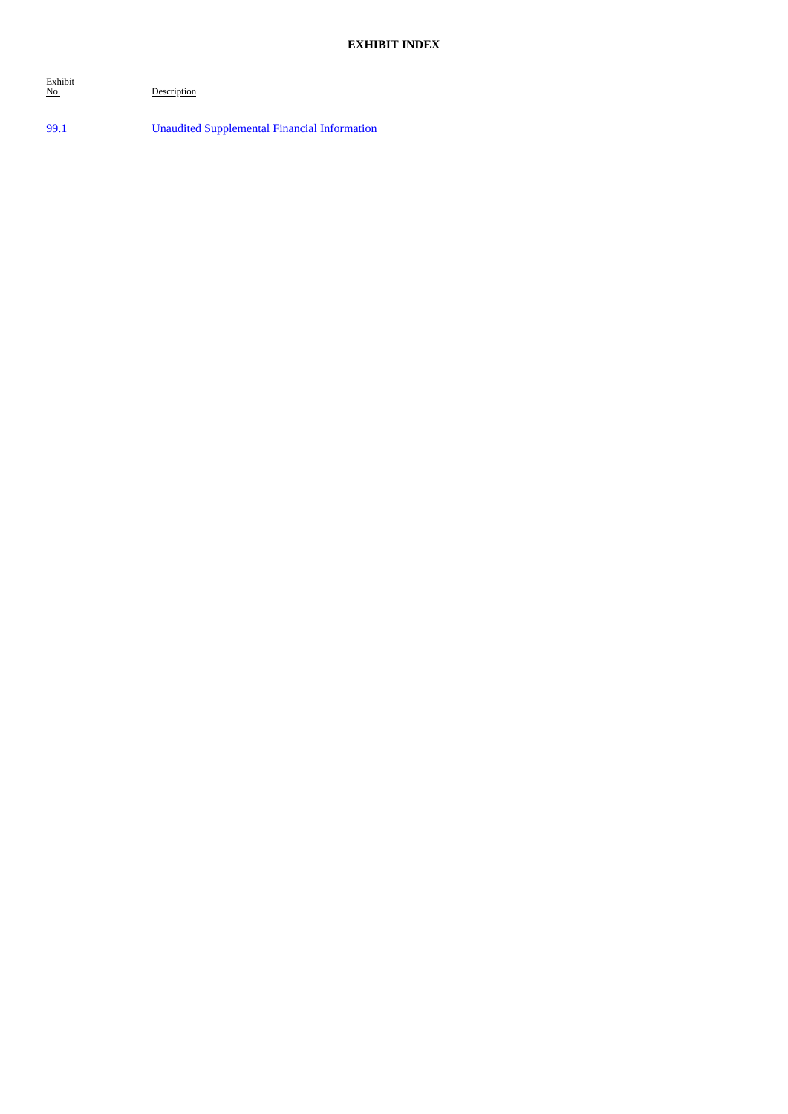Exhibit

Description

[99.1](#page-4-0) Unaudited [Supplemental](#page-4-0) Financial Information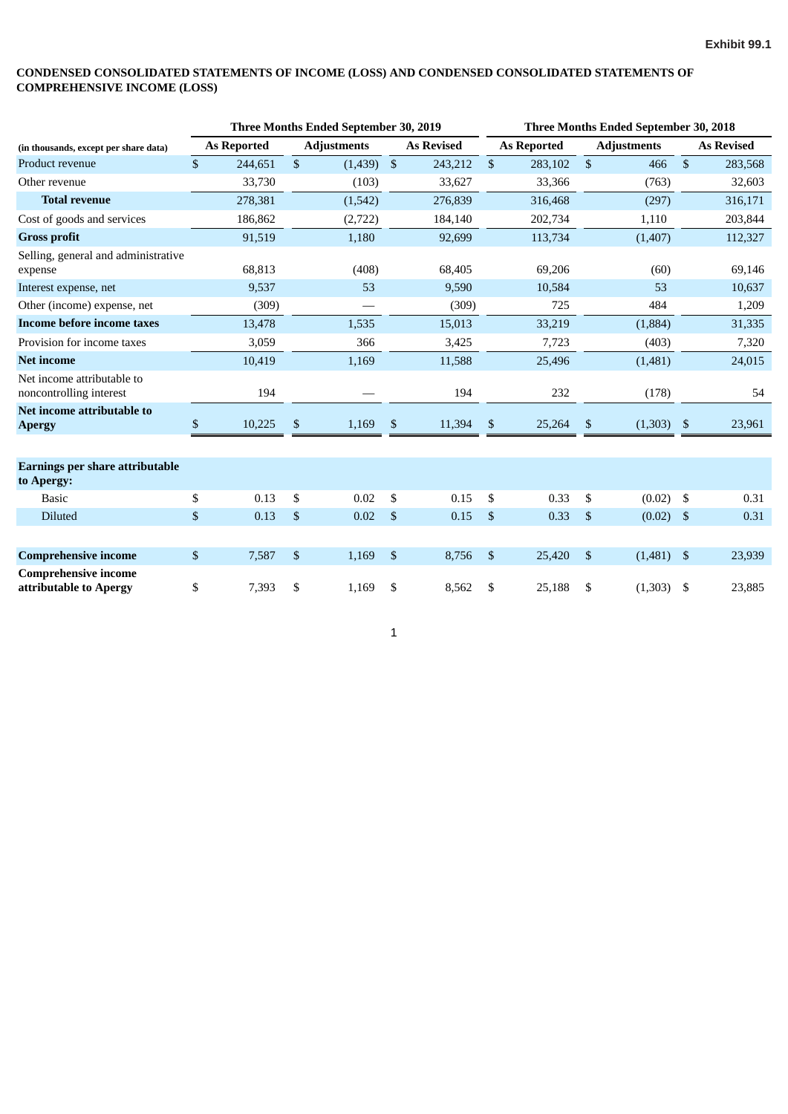#### <span id="page-4-0"></span>**CONDENSED CONSOLIDATED STATEMENTS OF INCOME (LOSS) AND CONDENSED CONSOLIDATED STATEMENTS OF COMPREHENSIVE INCOME (LOSS)**

|                                                       | Three Months Ended September 30, 2019 |                    |    |                    |                |                   |                         | Three Months Ended September 30, 2018 |                |                    |              |                   |  |  |
|-------------------------------------------------------|---------------------------------------|--------------------|----|--------------------|----------------|-------------------|-------------------------|---------------------------------------|----------------|--------------------|--------------|-------------------|--|--|
| (in thousands, except per share data)                 |                                       | <b>As Reported</b> |    | <b>Adjustments</b> |                | <b>As Revised</b> |                         | <b>As Reported</b>                    |                | <b>Adjustments</b> |              | <b>As Revised</b> |  |  |
| Product revenue                                       | $\mathbb{S}$                          | 244,651            | \$ | (1,439)            | $\mathfrak{S}$ | 243,212           | $\mathbf{\mathfrak{S}}$ | 283,102                               | $\mathfrak{s}$ | 466                | $\mathbb{S}$ | 283,568           |  |  |
| Other revenue                                         |                                       | 33,730             |    | (103)              |                | 33,627            |                         | 33,366                                |                | (763)              |              | 32,603            |  |  |
| <b>Total revenue</b>                                  |                                       | 278,381            |    | (1,542)            |                | 276,839           |                         | 316,468                               |                | (297)              |              | 316,171           |  |  |
| Cost of goods and services                            |                                       | 186,862            |    | (2,722)            |                | 184,140           |                         | 202,734                               |                | 1,110              |              | 203,844           |  |  |
| <b>Gross profit</b>                                   |                                       | 91,519             |    | 1,180              |                | 92,699            |                         | 113,734                               |                | (1, 407)           |              | 112,327           |  |  |
| Selling, general and administrative<br>expense        |                                       | 68,813             |    | (408)              |                | 68,405            |                         | 69,206                                |                | (60)               |              | 69,146            |  |  |
| Interest expense, net                                 |                                       | 9,537              |    | 53                 |                | 9,590             |                         | 10,584                                |                | 53                 |              | 10,637            |  |  |
| Other (income) expense, net                           |                                       | (309)              |    |                    |                | (309)             |                         | 725                                   |                | 484                |              | 1,209             |  |  |
| Income before income taxes                            |                                       | 13,478             |    | 1,535              |                | 15,013            |                         | 33,219                                |                | (1,884)            |              | 31,335            |  |  |
| Provision for income taxes                            |                                       | 3,059              |    | 366                |                | 3,425             |                         | 7,723                                 |                | (403)              |              | 7,320             |  |  |
| <b>Net income</b>                                     |                                       | 10,419             |    | 1,169              |                | 11,588            |                         | 25,496                                |                | (1,481)            |              | 24,015            |  |  |
| Net income attributable to<br>noncontrolling interest |                                       | 194                |    |                    |                | 194               |                         | 232                                   |                | (178)              |              | 54                |  |  |
| Net income attributable to<br><b>Apergy</b>           | $\$$                                  | 10,225             | \$ | 1,169              | \$             | 11,394            | -S                      | 25,264                                | \$             | (1,303)            | $\sqrt{5}$   | 23,961            |  |  |
| <b>Earnings per share attributable</b><br>to Apergy:  |                                       |                    |    |                    |                |                   |                         |                                       |                |                    |              |                   |  |  |
| <b>Basic</b>                                          | \$                                    | 0.13               | \$ | 0.02               | \$             | 0.15              | \$                      | 0.33                                  | \$             | $(0.02)$ \$        |              | 0.31              |  |  |
| Diluted                                               | \$                                    | 0.13               | \$ | 0.02               | \$             | 0.15              | $\mathfrak{S}$          | 0.33                                  | $\mathfrak{s}$ | (0.02)             | $\mathbf{s}$ | 0.31              |  |  |
| <b>Comprehensive income</b>                           | \$                                    | 7,587              | \$ | 1,169              | \$             | 8,756             | $\mathfrak{S}$          | 25,420                                | $\mathfrak{s}$ | $(1,481)$ \$       |              | 23,939            |  |  |
| <b>Comprehensive income</b><br>attributable to Apergy | \$                                    | 7,393              | \$ | 1,169              | \$             | 8,562             | \$                      | 25,188                                | \$             | $(1,303)$ \$       |              | 23,885            |  |  |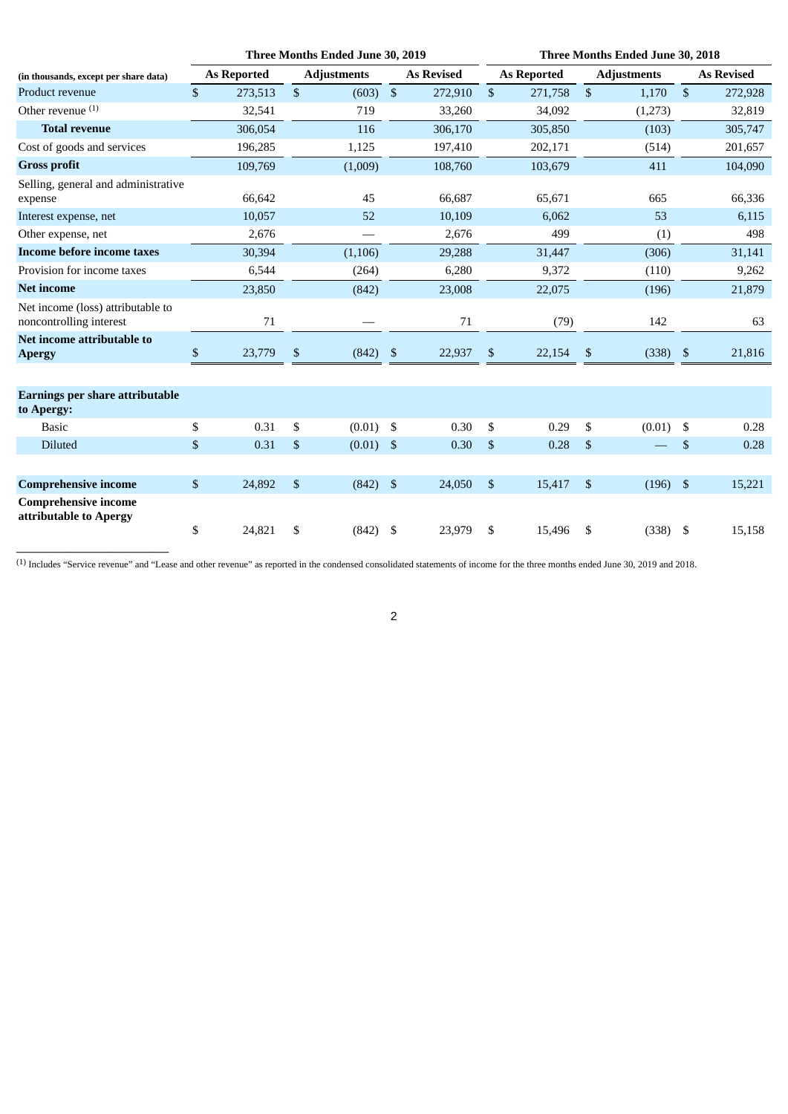|                                                              |              |                    |                | Three Months Ended June 30, 2019 |            |                   | Three Months Ended June 30, 2018 |                    |                |                    |                           |                   |  |
|--------------------------------------------------------------|--------------|--------------------|----------------|----------------------------------|------------|-------------------|----------------------------------|--------------------|----------------|--------------------|---------------------------|-------------------|--|
| (in thousands, except per share data)                        |              | <b>As Reported</b> |                | <b>Adjustments</b>               |            | <b>As Revised</b> |                                  | <b>As Reported</b> |                | <b>Adjustments</b> |                           | <b>As Revised</b> |  |
| Product revenue                                              | $\mathbb{S}$ | 273,513            | $\mathfrak{S}$ | (603)                            | $\sqrt{3}$ | 272,910           | $\mathfrak{S}$                   | 271,758            | $\mathfrak{s}$ | 1,170              | $\boldsymbol{\mathsf{S}}$ | 272,928           |  |
| Other revenue $(1)$                                          |              | 32,541             |                | 719                              |            | 33,260            |                                  | 34,092             |                | (1,273)            |                           | 32,819            |  |
| <b>Total revenue</b>                                         |              | 306,054            |                | 116                              |            | 306,170           |                                  | 305,850            |                | (103)              |                           | 305,747           |  |
| Cost of goods and services                                   |              | 196,285            |                | 1,125                            |            | 197,410           |                                  | 202,171            |                | (514)              |                           | 201,657           |  |
| <b>Gross profit</b>                                          |              | 109,769            |                | (1,009)                          |            | 108,760           |                                  | 103,679            |                | 411                |                           | 104,090           |  |
| Selling, general and administrative<br>expense               |              | 66,642             |                | 45                               |            | 66,687            |                                  | 65,671             |                | 665                |                           | 66,336            |  |
| Interest expense, net                                        |              | 10,057             |                | 52                               |            | 10,109            |                                  | 6,062              |                | 53                 |                           | 6,115             |  |
| Other expense, net                                           |              | 2,676              |                |                                  |            | 2,676             |                                  | 499                |                | (1)                |                           | 498               |  |
| Income before income taxes                                   |              | 30,394             |                | (1, 106)                         |            | 29,288            |                                  | 31,447             |                | (306)              |                           | 31,141            |  |
| Provision for income taxes                                   |              | 6,544              |                | (264)                            |            | 6,280             |                                  | 9,372              |                | (110)              |                           | 9,262             |  |
| <b>Net income</b>                                            |              | 23,850             |                | (842)                            |            | 23,008            |                                  | 22,075             |                | (196)              |                           | 21,879            |  |
| Net income (loss) attributable to<br>noncontrolling interest |              | 71                 |                |                                  |            | 71                |                                  | (79)               |                | 142                |                           | 63                |  |
| Net income attributable to<br><b>Apergy</b>                  | \$           | 23,779             | \$             | (842)                            | \$         | 22,937            | \$                               | 22,154             | \$             | $(338)$ \$         |                           | 21,816            |  |
| <b>Earnings per share attributable</b><br>to Apergy:         |              |                    |                |                                  |            |                   |                                  |                    |                |                    |                           |                   |  |
| <b>Basic</b>                                                 | \$           | 0.31               | \$             | (0.01)                           | \$         | 0.30              | \$                               | 0.29               | \$             | (0.01)             | \$                        | 0.28              |  |
| Diluted                                                      | \$           | 0.31               | \$             | (0.01)                           | \$         | 0.30              | \$                               | 0.28               | \$             |                    | \$                        | 0.28              |  |
|                                                              |              |                    |                |                                  |            |                   |                                  |                    |                |                    |                           |                   |  |
| <b>Comprehensive income</b>                                  | \$           | 24,892             | \$             | (842)                            | \$         | 24,050            | \$                               | 15,417             | \$             | $(196)$ \$         |                           | 15,221            |  |
| <b>Comprehensive income</b><br>attributable to Apergy        |              |                    |                |                                  |            |                   |                                  |                    |                |                    |                           |                   |  |
|                                                              | \$           | 24,821             | \$             | (842)                            | \$         | 23,979            | \$                               | 15,496             | \$             | $(338)$ \$         |                           | 15,158            |  |

(1) Includes "Service revenue" and "Lease and other revenue" as reported in the condensed consolidated statements of income for the three months ended June 30, 2019 and 2018.

\_\_\_\_\_\_\_\_\_\_\_\_\_\_\_\_\_\_\_\_\_\_\_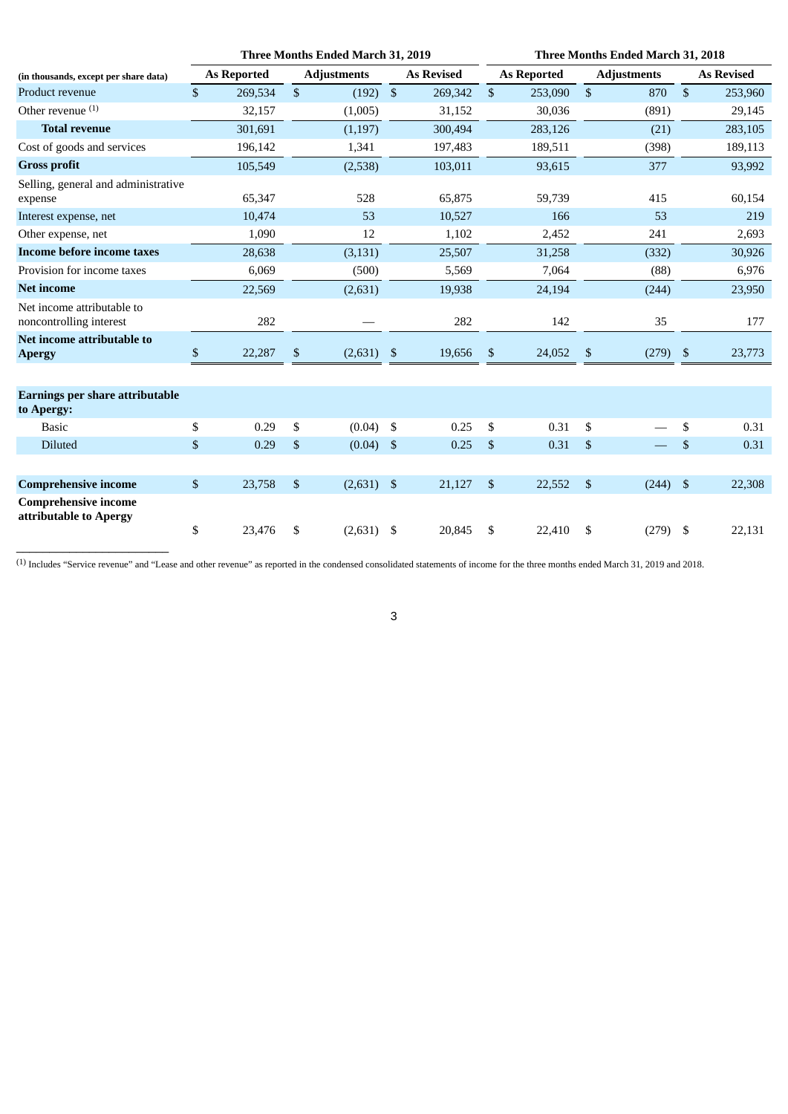|                                                       |              |                    |                           | Three Months Ended March 31, 2019 |                |                   |                | Three Months Ended March 31, 2018 |    |                    |                |                   |  |  |
|-------------------------------------------------------|--------------|--------------------|---------------------------|-----------------------------------|----------------|-------------------|----------------|-----------------------------------|----|--------------------|----------------|-------------------|--|--|
| (in thousands, except per share data)                 |              | <b>As Reported</b> |                           | <b>Adjustments</b>                |                | <b>As Revised</b> |                | <b>As Reported</b>                |    | <b>Adjustments</b> |                | <b>As Revised</b> |  |  |
| Product revenue                                       | $\mathbb{S}$ | 269,534            | $\boldsymbol{\mathsf{S}}$ | (192)                             | $\mathfrak{s}$ | 269,342           | $\mathfrak{S}$ | 253,090                           | \$ | 870                | $\sqrt{3}$     | 253,960           |  |  |
| Other revenue $(1)$                                   |              | 32,157             |                           | (1,005)                           |                | 31,152            |                | 30,036                            |    | (891)              |                | 29,145            |  |  |
| <b>Total revenue</b>                                  |              | 301,691            |                           | (1, 197)                          |                | 300,494           |                | 283,126                           |    | (21)               |                | 283,105           |  |  |
| Cost of goods and services                            |              | 196,142            |                           | 1,341                             |                | 197,483           |                | 189,511                           |    | (398)              |                | 189,113           |  |  |
| <b>Gross profit</b>                                   |              | 105,549            |                           | (2,538)                           |                | 103,011           |                | 93,615                            |    | 377                |                | 93,992            |  |  |
| Selling, general and administrative<br>expense        |              | 65,347             |                           | 528                               |                | 65,875            |                | 59,739                            |    | 415                |                | 60,154            |  |  |
| Interest expense, net                                 |              | 10,474             |                           | 53                                |                | 10,527            |                | 166                               |    | 53                 |                | 219               |  |  |
| Other expense, net                                    |              | 1,090              |                           | 12                                |                | 1,102             |                | 2,452                             |    | 241                |                | 2,693             |  |  |
| <b>Income before income taxes</b>                     |              | 28,638             |                           | (3, 131)                          |                | 25,507            |                | 31,258                            |    | (332)              |                | 30,926            |  |  |
| Provision for income taxes                            |              | 6,069              |                           | (500)                             |                | 5,569             |                | 7,064                             |    | (88)               |                | 6,976             |  |  |
| <b>Net income</b>                                     |              | 22,569             |                           | (2,631)                           |                | 19,938            |                | 24,194                            |    | (244)              |                | 23,950            |  |  |
| Net income attributable to<br>noncontrolling interest |              | 282                |                           |                                   |                | 282               |                | 142                               |    | 35                 |                | 177               |  |  |
| Net income attributable to<br><b>Apergy</b>           | $\mathbb{S}$ | 22,287             | \$                        | (2,631)                           | \$             | 19,656            | $\mathbb{S}$   | 24,052                            | \$ | (279)              | $\sqrt{3}$     | 23,773            |  |  |
| <b>Earnings per share attributable</b><br>to Apergy:  |              |                    |                           |                                   |                |                   |                |                                   |    |                    |                |                   |  |  |
| <b>Basic</b>                                          | \$           | 0.29               | \$                        | (0.04)                            | \$             | 0.25              | \$             | 0.31                              | \$ |                    | \$             | 0.31              |  |  |
| <b>Diluted</b>                                        | \$           | 0.29               | \$                        | (0.04)                            | \$             | 0.25              | $\$$           | 0.31                              | \$ |                    | $\$$           | 0.31              |  |  |
|                                                       |              |                    |                           |                                   |                |                   |                |                                   |    |                    |                |                   |  |  |
| <b>Comprehensive income</b>                           | $\mathbb{S}$ | 23,758             | \$                        | (2,631)                           | \$             | 21,127            | \$             | 22,552                            | \$ | (244)              | $\mathfrak{F}$ | 22,308            |  |  |
| <b>Comprehensive income</b><br>attributable to Apergy |              |                    |                           |                                   |                |                   |                |                                   |    |                    |                |                   |  |  |
|                                                       | \$           | 23,476             | \$                        | (2,631)                           | \$             | 20,845            | \$             | 22,410                            | \$ | $(279)$ \$         |                | 22,131            |  |  |

(1) Includes "Service revenue" and "Lease and other revenue" as reported in the condensed consolidated statements of income for the three months ended March 31, 2019 and 2018.

\_\_\_\_\_\_\_\_\_\_\_\_\_\_\_\_\_\_\_\_\_\_\_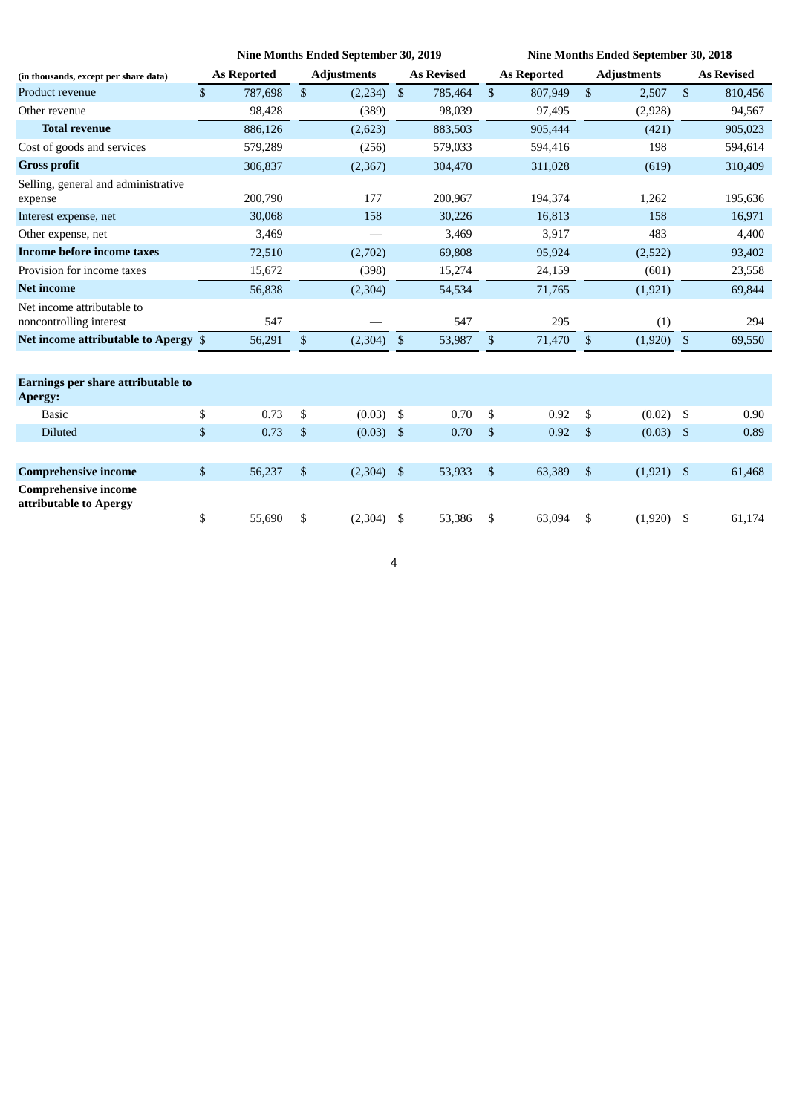|                                                       |                    | Nine Months Ended September 30, 2019 |                    |                |                   |                |                    | <b>Nine Months Ended September 30, 2018</b> |                    |            |                   |  |  |
|-------------------------------------------------------|--------------------|--------------------------------------|--------------------|----------------|-------------------|----------------|--------------------|---------------------------------------------|--------------------|------------|-------------------|--|--|
| (in thousands, except per share data)                 | <b>As Reported</b> |                                      | <b>Adjustments</b> |                | <b>As Revised</b> |                | <b>As Reported</b> |                                             | <b>Adjustments</b> |            | <b>As Revised</b> |  |  |
| Product revenue                                       | \$<br>787,698      | \$                                   | (2,234)            | $\mathfrak{S}$ | 785,464           | $\sqrt{3}$     | 807,949            | \$                                          | 2,507              | $\sqrt{2}$ | 810,456           |  |  |
| Other revenue                                         | 98,428             |                                      | (389)              |                | 98,039            |                | 97,495             |                                             | (2,928)            |            | 94,567            |  |  |
| <b>Total revenue</b>                                  | 886,126            |                                      | (2,623)            |                | 883,503           |                | 905,444            |                                             | (421)              |            | 905,023           |  |  |
| Cost of goods and services                            | 579,289            |                                      | (256)              |                | 579,033           |                | 594,416            |                                             | 198                |            | 594,614           |  |  |
| <b>Gross profit</b>                                   | 306,837            |                                      | (2,367)            |                | 304,470           |                | 311,028            |                                             | (619)              |            | 310,409           |  |  |
| Selling, general and administrative<br>expense        | 200,790            |                                      | 177                |                | 200,967           |                | 194,374            |                                             | 1,262              |            | 195,636           |  |  |
| Interest expense, net                                 | 30,068             |                                      | 158                |                | 30,226            |                | 16,813             |                                             | 158                |            | 16,971            |  |  |
| Other expense, net                                    | 3,469              |                                      |                    |                | 3,469             |                | 3,917              |                                             | 483                |            | 4,400             |  |  |
| <b>Income before income taxes</b>                     | 72,510             |                                      | (2,702)            |                | 69,808            |                | 95,924             |                                             | (2,522)            |            | 93,402            |  |  |
| Provision for income taxes                            | 15,672             |                                      | (398)              |                | 15,274            |                | 24,159             |                                             | (601)              |            | 23,558            |  |  |
| <b>Net income</b>                                     | 56,838             |                                      | (2, 304)           |                | 54,534            |                | 71,765             |                                             | (1, 921)           |            | 69,844            |  |  |
| Net income attributable to<br>noncontrolling interest | 547                |                                      |                    |                | 547               |                | 295                |                                             | (1)                |            | 294               |  |  |
| Net income attributable to Apergy \$                  | 56,291             | \$                                   | (2,304)            | - \$           | 53,987            | \$             | 71,470             | \$                                          | (1,920)            | \$         | 69,550            |  |  |
|                                                       |                    |                                      |                    |                |                   |                |                    |                                             |                    |            |                   |  |  |
| Earnings per share attributable to<br>Apergy:         |                    |                                      |                    |                |                   |                |                    |                                             |                    |            |                   |  |  |
| <b>Basic</b>                                          | \$<br>0.73         | \$                                   | (0.03)             | - \$           | 0.70              | \$             | 0.92               | \$                                          | (0.02)             | \$         | 0.90              |  |  |
| <b>Diluted</b>                                        | \$<br>0.73         | \$                                   | (0.03)             | $\mathbf{s}$   | 0.70              | $\mathfrak{s}$ | 0.92               | \$                                          | $(0.03)$ \$        |            | 0.89              |  |  |
|                                                       |                    |                                      |                    |                |                   |                |                    |                                             |                    |            |                   |  |  |
| <b>Comprehensive income</b>                           | \$<br>56,237       | \$                                   | $(2,304)$ \$       |                | 53,933            | $\mathfrak{S}$ | 63,389             | \$                                          | $(1,921)$ \$       |            | 61,468            |  |  |
| <b>Comprehensive income</b><br>attributable to Apergy |                    |                                      |                    |                |                   |                |                    |                                             |                    |            |                   |  |  |
|                                                       | \$<br>55,690       | \$                                   | (2,304)            | - \$           | 53,386            | \$             | 63,094             | \$                                          | $(1,920)$ \$       |            | 61,174            |  |  |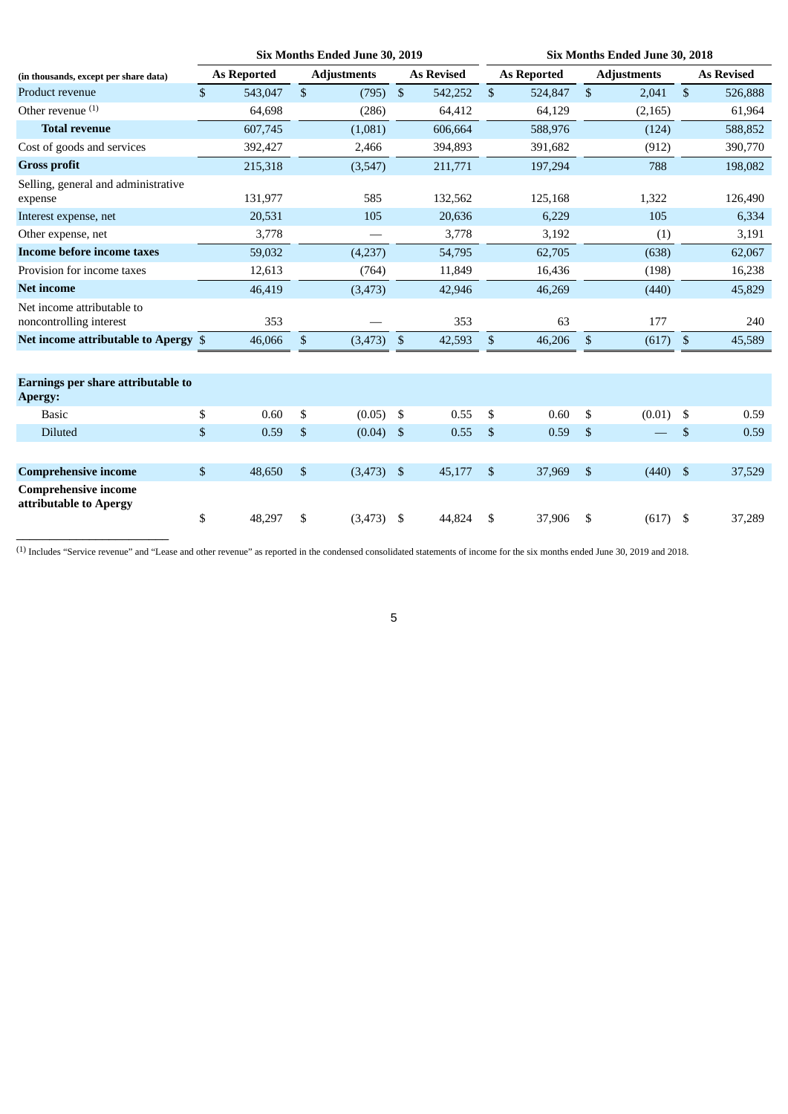|                                                |      | Six Months Ended June 30, 2019 |                |                                    |                | Six Months Ended June 30, 2018 |    |                    |                |                                         |  |  |
|------------------------------------------------|------|--------------------------------|----------------|------------------------------------|----------------|--------------------------------|----|--------------------|----------------|-----------------------------------------|--|--|
| <b>As Reported</b>                             |      | <b>Adjustments</b>             |                | <b>As Revised</b>                  |                | <b>As Reported</b>             |    | <b>Adjustments</b> |                | <b>As Revised</b>                       |  |  |
| $\mathbb{S}$<br>543,047                        | \$   | (795)                          | $\mathfrak{F}$ | 542,252                            | $\mathfrak{S}$ | 524,847                        | \$ | 2,041              | $\mathfrak{S}$ | 526,888                                 |  |  |
| 64,698                                         |      | (286)                          |                | 64,412                             |                | 64,129                         |    | (2, 165)           |                | 61,964                                  |  |  |
| 607,745                                        |      | (1,081)                        |                | 606,664                            |                | 588,976                        |    | (124)              |                | 588,852                                 |  |  |
| 392,427                                        |      | 2,466                          |                | 394,893                            |                | 391,682                        |    | (912)              |                | 390,770                                 |  |  |
| 215,318                                        |      | (3,547)                        |                | 211,771                            |                | 197,294                        |    | 788                |                | 198,082                                 |  |  |
| 131,977                                        |      | 585                            |                | 132,562                            |                | 125,168                        |    | 1,322              |                | 126,490                                 |  |  |
| 20,531                                         |      | 105                            |                | 20,636                             |                | 6,229                          |    | 105                |                | 6,334                                   |  |  |
| 3,778                                          |      |                                |                | 3,778                              |                | 3,192                          |    | (1)                |                | 3,191                                   |  |  |
| 59,032                                         |      | (4,237)                        |                | 54,795                             |                | 62,705                         |    | (638)              |                | 62,067                                  |  |  |
| 12,613                                         |      | (764)                          |                | 11,849                             |                | 16,436                         |    | (198)              |                | 16,238                                  |  |  |
| 46,419                                         |      | (3, 473)                       |                | 42,946                             |                | 46,269                         |    | (440)              |                | 45,829                                  |  |  |
| 353                                            |      |                                |                | 353                                |                | 63                             |    | 177                |                | 240                                     |  |  |
| Net income attributable to Apergy \$<br>46,066 | $\$$ | (3, 473)                       | $$^{\circ}$    | 42,593                             | \$             | 46,206                         | \$ | (617)              | $\sqrt{3}$     | 45,589                                  |  |  |
|                                                |      |                                |                |                                    |                |                                |    |                    |                |                                         |  |  |
| \$<br>0.60                                     | \$   | (0.05)                         |                | 0.55                               | \$             | 0.60                           | \$ |                    |                | 0.59                                    |  |  |
| \$<br>0.59                                     | $\$$ | (0.04)                         |                | 0.55                               | \$             | 0.59                           | \$ |                    | \$             | 0.59                                    |  |  |
|                                                |      |                                |                |                                    |                |                                |    |                    |                |                                         |  |  |
| $\$$<br>48,650                                 | $\$$ |                                |                | 45,177                             | $\mathfrak{S}$ | 37,969                         | \$ |                    |                | 37,529                                  |  |  |
| \$<br>48,297                                   | \$   | (3, 473)                       | - \$           | 44,824                             | \$             | 37,906                         | \$ |                    |                | 37,289                                  |  |  |
|                                                |      |                                |                | - \$<br>$\sqrt{3}$<br>$(3,473)$ \$ |                |                                |    |                    |                | $(0.01)$ \$<br>$(440)$ \$<br>$(617)$ \$ |  |  |

(1) Includes "Service revenue" and "Lease and other revenue" as reported in the condensed consolidated statements of income for the six months ended June 30, 2019 and 2018.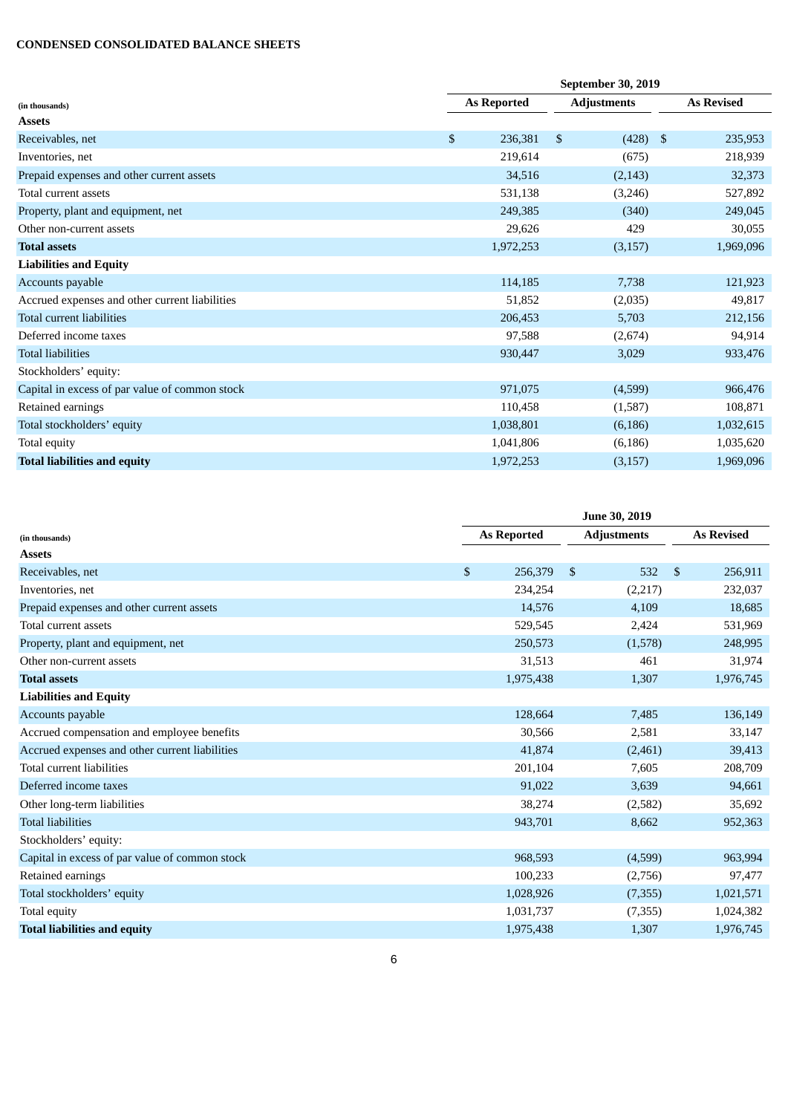## **CONDENSED CONSOLIDATED BALANCE SHEETS**

|                                                | September 30, 2019 |                    |                    |  |                   |  |  |  |
|------------------------------------------------|--------------------|--------------------|--------------------|--|-------------------|--|--|--|
| (in thousands)                                 |                    | <b>As Reported</b> | <b>Adjustments</b> |  | <b>As Revised</b> |  |  |  |
| <b>Assets</b>                                  |                    |                    |                    |  |                   |  |  |  |
| Receivables, net                               | $\mathfrak{S}$     | 236,381            | \$<br>$(428)$ \$   |  | 235,953           |  |  |  |
| Inventories, net                               |                    | 219,614            | (675)              |  | 218,939           |  |  |  |
| Prepaid expenses and other current assets      |                    | 34,516             | (2, 143)           |  | 32,373            |  |  |  |
| Total current assets                           |                    | 531,138            | (3,246)            |  | 527,892           |  |  |  |
| Property, plant and equipment, net             |                    | 249,385            | (340)              |  | 249,045           |  |  |  |
| Other non-current assets                       |                    | 29,626             | 429                |  | 30,055            |  |  |  |
| <b>Total assets</b>                            |                    | 1,972,253          | (3, 157)           |  | 1,969,096         |  |  |  |
| <b>Liabilities and Equity</b>                  |                    |                    |                    |  |                   |  |  |  |
| Accounts payable                               |                    | 114,185            | 7,738              |  | 121,923           |  |  |  |
| Accrued expenses and other current liabilities |                    | 51,852             | (2,035)            |  | 49,817            |  |  |  |
| Total current liabilities                      |                    | 206,453            | 5,703              |  | 212,156           |  |  |  |
| Deferred income taxes                          |                    | 97,588             | (2,674)            |  | 94,914            |  |  |  |
| <b>Total liabilities</b>                       |                    | 930,447            | 3,029              |  | 933,476           |  |  |  |
| Stockholders' equity:                          |                    |                    |                    |  |                   |  |  |  |
| Capital in excess of par value of common stock |                    | 971,075            | (4,599)            |  | 966,476           |  |  |  |
| Retained earnings                              |                    | 110,458            | (1,587)            |  | 108,871           |  |  |  |
| Total stockholders' equity                     |                    | 1,038,801          | (6, 186)           |  | 1,032,615         |  |  |  |
| Total equity                                   |                    | 1,041,806          | (6, 186)           |  | 1,035,620         |  |  |  |
| <b>Total liabilities and equity</b>            |                    | 1,972,253          | (3, 157)           |  | 1,969,096         |  |  |  |

|                                                | <b>June 30, 2019</b>      |                     |                         |  |  |  |  |  |  |  |
|------------------------------------------------|---------------------------|---------------------|-------------------------|--|--|--|--|--|--|--|
| (in thousands)                                 | <b>As Reported</b>        | <b>Adjustments</b>  | <b>As Revised</b>       |  |  |  |  |  |  |  |
| <b>Assets</b>                                  |                           |                     |                         |  |  |  |  |  |  |  |
| Receivables, net                               | $\mathfrak{S}$<br>256,379 | $\mathbb{S}$<br>532 | $\mathbb{S}$<br>256,911 |  |  |  |  |  |  |  |
| Inventories, net                               | 234,254                   | (2,217)             | 232,037                 |  |  |  |  |  |  |  |
| Prepaid expenses and other current assets      | 14,576                    | 4,109               | 18,685                  |  |  |  |  |  |  |  |
| Total current assets                           | 529,545                   | 2,424               | 531,969                 |  |  |  |  |  |  |  |
| Property, plant and equipment, net             | 250,573                   | (1,578)             | 248,995                 |  |  |  |  |  |  |  |
| Other non-current assets                       | 31,513                    | 461                 | 31,974                  |  |  |  |  |  |  |  |
| <b>Total assets</b>                            | 1,975,438                 | 1,307               | 1,976,745               |  |  |  |  |  |  |  |
| <b>Liabilities and Equity</b>                  |                           |                     |                         |  |  |  |  |  |  |  |
| Accounts payable                               | 128,664                   | 7,485               | 136,149                 |  |  |  |  |  |  |  |
| Accrued compensation and employee benefits     | 30,566                    | 2,581               | 33,147                  |  |  |  |  |  |  |  |
| Accrued expenses and other current liabilities | 41,874                    | (2,461)             | 39,413                  |  |  |  |  |  |  |  |
| Total current liabilities                      | 201,104                   | 7,605               | 208,709                 |  |  |  |  |  |  |  |
| Deferred income taxes                          | 91,022                    | 3,639               | 94,661                  |  |  |  |  |  |  |  |
| Other long-term liabilities                    | 38,274                    | (2,582)             | 35,692                  |  |  |  |  |  |  |  |
| <b>Total liabilities</b>                       | 943,701                   | 8,662               | 952,363                 |  |  |  |  |  |  |  |
| Stockholders' equity:                          |                           |                     |                         |  |  |  |  |  |  |  |
| Capital in excess of par value of common stock | 968,593                   | (4,599)             | 963,994                 |  |  |  |  |  |  |  |
| Retained earnings                              | 100,233                   | (2,756)             | 97,477                  |  |  |  |  |  |  |  |
| Total stockholders' equity                     | 1,028,926                 | (7,355)             | 1,021,571               |  |  |  |  |  |  |  |
| Total equity                                   | 1,031,737                 | (7,355)             | 1,024,382               |  |  |  |  |  |  |  |
| <b>Total liabilities and equity</b>            | 1,975,438                 | 1,307               | 1,976,745               |  |  |  |  |  |  |  |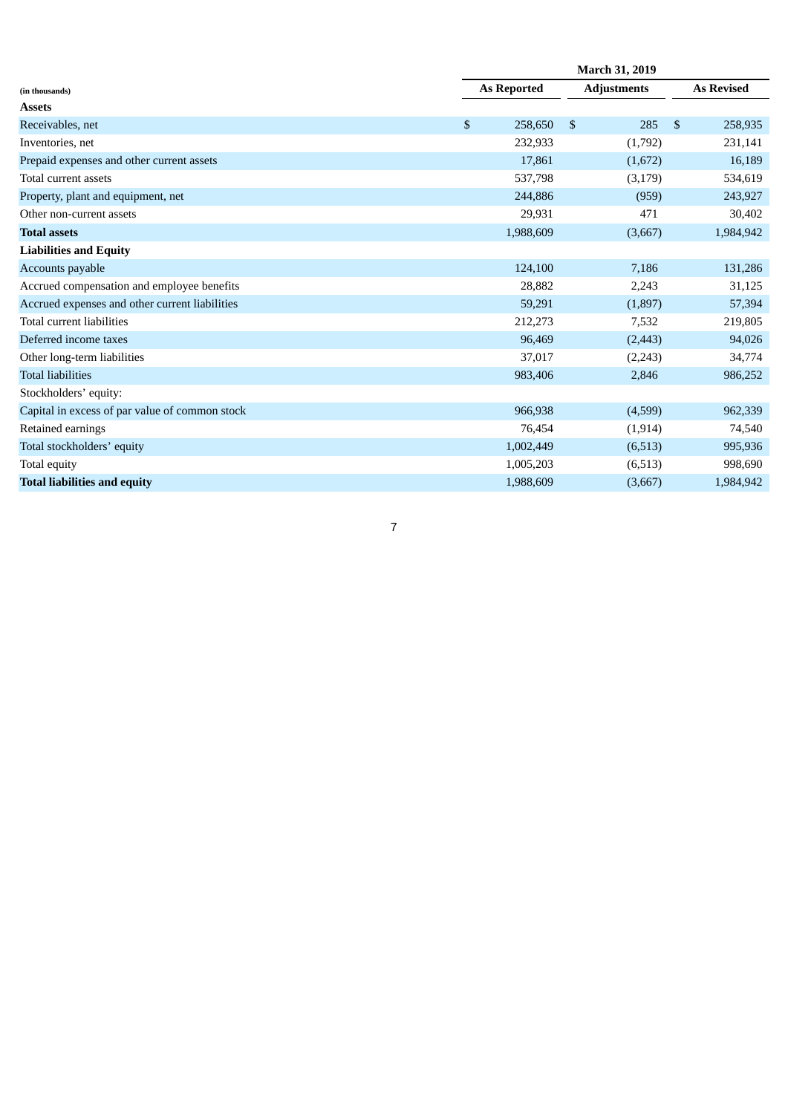|                                                | March 31, 2019     |                       |              |                   |  |  |  |  |  |  |
|------------------------------------------------|--------------------|-----------------------|--------------|-------------------|--|--|--|--|--|--|
| (in thousands)                                 | <b>As Reported</b> | <b>Adjustments</b>    |              | <b>As Revised</b> |  |  |  |  |  |  |
| <b>Assets</b>                                  |                    |                       |              |                   |  |  |  |  |  |  |
| Receivables, net                               | \$<br>258,650      | $\mathfrak{S}$<br>285 | $\mathbb{S}$ | 258,935           |  |  |  |  |  |  |
| Inventories, net                               | 232,933            | (1,792)               |              | 231,141           |  |  |  |  |  |  |
| Prepaid expenses and other current assets      | 17,861             | (1,672)               |              | 16,189            |  |  |  |  |  |  |
| Total current assets                           | 537,798            | (3, 179)              |              | 534,619           |  |  |  |  |  |  |
| Property, plant and equipment, net             | 244,886            | (959)                 |              | 243,927           |  |  |  |  |  |  |
| Other non-current assets                       | 29,931             | 471                   |              | 30,402            |  |  |  |  |  |  |
| <b>Total assets</b>                            | 1,988,609          | (3,667)               |              | 1,984,942         |  |  |  |  |  |  |
| <b>Liabilities and Equity</b>                  |                    |                       |              |                   |  |  |  |  |  |  |
| Accounts payable                               | 124,100            | 7,186                 |              | 131,286           |  |  |  |  |  |  |
| Accrued compensation and employee benefits     | 28,882             | 2,243                 |              | 31,125            |  |  |  |  |  |  |
| Accrued expenses and other current liabilities | 59,291             | (1,897)               |              | 57,394            |  |  |  |  |  |  |
| Total current liabilities                      | 212,273            | 7,532                 |              | 219,805           |  |  |  |  |  |  |
| Deferred income taxes                          | 96,469             | (2, 443)              |              | 94,026            |  |  |  |  |  |  |
| Other long-term liabilities                    | 37,017             | (2, 243)              |              | 34,774            |  |  |  |  |  |  |
| <b>Total liabilities</b>                       | 983,406            | 2,846                 |              | 986,252           |  |  |  |  |  |  |
| Stockholders' equity:                          |                    |                       |              |                   |  |  |  |  |  |  |
| Capital in excess of par value of common stock | 966,938            | (4,599)               |              | 962,339           |  |  |  |  |  |  |
| Retained earnings                              | 76,454             | (1, 914)              |              | 74,540            |  |  |  |  |  |  |
| Total stockholders' equity                     | 1,002,449          | (6,513)               |              | 995,936           |  |  |  |  |  |  |
| Total equity                                   | 1,005,203          | (6,513)               |              | 998,690           |  |  |  |  |  |  |
| <b>Total liabilities and equity</b>            | 1,988,609          | (3,667)               |              | 1,984,942         |  |  |  |  |  |  |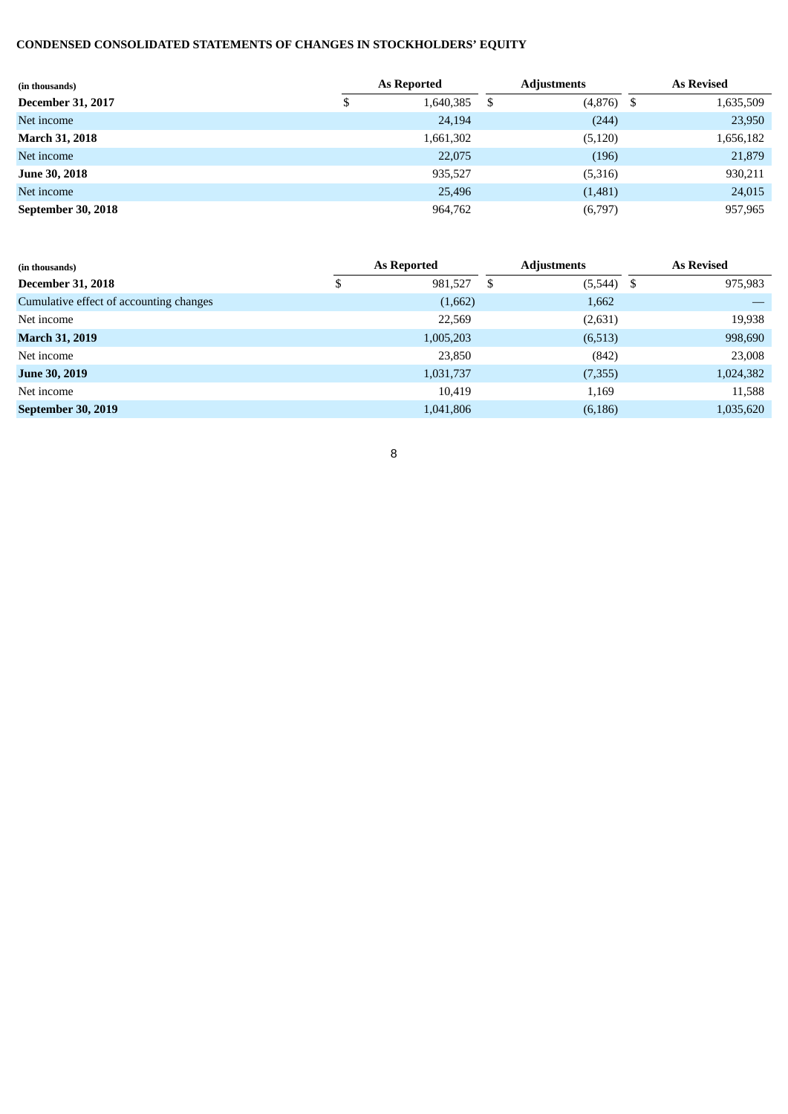# **CONDENSED CONSOLIDATED STATEMENTS OF CHANGES IN STOCKHOLDERS' EQUITY**

| (in thousands)           |   | <b>As Reported</b> |    | <b>Adjustments</b> | <b>As Revised</b> |           |  |
|--------------------------|---|--------------------|----|--------------------|-------------------|-----------|--|
| <b>December 31, 2017</b> | Φ | 1,640,385          | -5 | (4,876)            | -5                | 1,635,509 |  |
| Net income               |   | 24,194             |    | (244)              |                   | 23,950    |  |
| <b>March 31, 2018</b>    |   | 1,661,302          |    | (5, 120)           |                   | 1,656,182 |  |
| Net income               |   | 22,075             |    | (196)              |                   | 21,879    |  |
| <b>June 30, 2018</b>     |   | 935,527            |    | (5,316)            |                   | 930,211   |  |
| Net income               |   | 25,496             |    | (1,481)            |                   | 24,015    |  |
| September 30, 2018       |   | 964,762            |    | (6,797)            |                   | 957,965   |  |

| (in thousands)                          | As Reported |           |   | Adjustments |    | <b>As Revised</b> |
|-----------------------------------------|-------------|-----------|---|-------------|----|-------------------|
| <b>December 31, 2018</b>                | ۰υ          | 981,527   | S | (5,544)     | \$ | 975,983           |
| Cumulative effect of accounting changes |             | (1,662)   |   | 1,662       |    |                   |
| Net income                              |             | 22,569    |   | (2,631)     |    | 19,938            |
| <b>March 31, 2019</b>                   |             | 1,005,203 |   | (6,513)     |    | 998,690           |
| Net income                              |             | 23,850    |   | (842)       |    | 23,008            |
| <b>June 30, 2019</b>                    |             | 1,031,737 |   | (7,355)     |    | 1,024,382         |
| Net income                              |             | 10,419    |   | 1,169       |    | 11,588            |
| September 30, 2019                      |             | 1,041,806 |   | (6, 186)    |    | 1,035,620         |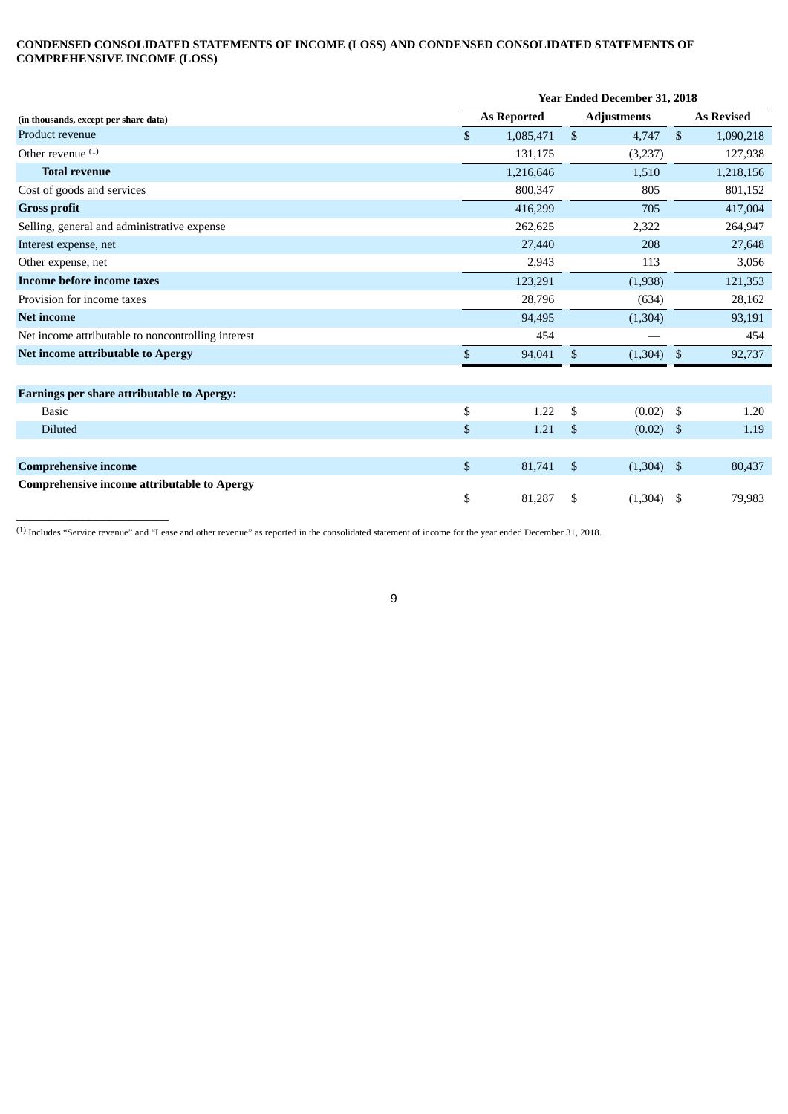#### **CONDENSED CONSOLIDATED STATEMENTS OF INCOME (LOSS) AND CONDENSED CONSOLIDATED STATEMENTS OF COMPREHENSIVE INCOME (LOSS)**

|                                                    | <b>Year Ended December 31, 2018</b> |                    |                           |                    |               |                   |
|----------------------------------------------------|-------------------------------------|--------------------|---------------------------|--------------------|---------------|-------------------|
| (in thousands, except per share data)              |                                     | <b>As Reported</b> |                           | <b>Adjustments</b> |               | <b>As Revised</b> |
| Product revenue                                    | \$                                  | 1,085,471          | $\mathfrak{S}$            | 4,747              | $\mathcal{S}$ | 1,090,218         |
| Other revenue $(1)$                                |                                     | 131,175            |                           | (3,237)            |               | 127,938           |
| <b>Total revenue</b>                               |                                     | 1,216,646          |                           | 1,510              |               | 1,218,156         |
| Cost of goods and services                         |                                     | 800,347            |                           | 805                |               | 801,152           |
| <b>Gross profit</b>                                |                                     | 416,299            |                           | 705                |               | 417,004           |
| Selling, general and administrative expense        |                                     | 262,625            |                           | 2,322              |               | 264,947           |
| Interest expense, net                              |                                     | 27,440             |                           | 208                |               | 27,648            |
| Other expense, net                                 |                                     | 2,943              |                           | 113                |               | 3,056             |
| <b>Income before income taxes</b>                  |                                     | 123,291            |                           | (1,938)            |               | 121,353           |
| Provision for income taxes                         |                                     | 28,796             |                           | (634)              |               | 28,162            |
| <b>Net income</b>                                  |                                     | 94,495             |                           | (1,304)            |               | 93,191            |
| Net income attributable to noncontrolling interest |                                     | 454                |                           |                    |               | 454               |
| <b>Net income attributable to Apergy</b>           | \$                                  | 94,041             | $\boldsymbol{\mathsf{S}}$ | (1,304)            | $^{\circ}$    | 92,737            |
| <b>Earnings per share attributable to Apergy:</b>  |                                     |                    |                           |                    |               |                   |
| <b>Basic</b>                                       | \$                                  | 1.22               | \$                        | $(0.02)$ \$        |               | 1.20              |
| <b>Diluted</b>                                     | \$                                  | 1.21               | $\mathfrak{s}$            | $(0.02)$ \$        |               | 1.19              |
| <b>Comprehensive income</b>                        | \$                                  | 81,741             | $\mathfrak{s}$            | $(1,304)$ \$       |               | 80,437            |
| <b>Comprehensive income attributable to Apergy</b> | \$                                  | 81,287             | \$                        | $(1,304)$ \$       |               | 79,983            |

(1) Includes "Service revenue" and "Lease and other revenue" as reported in the consolidated statement of income for the year ended December 31, 2018.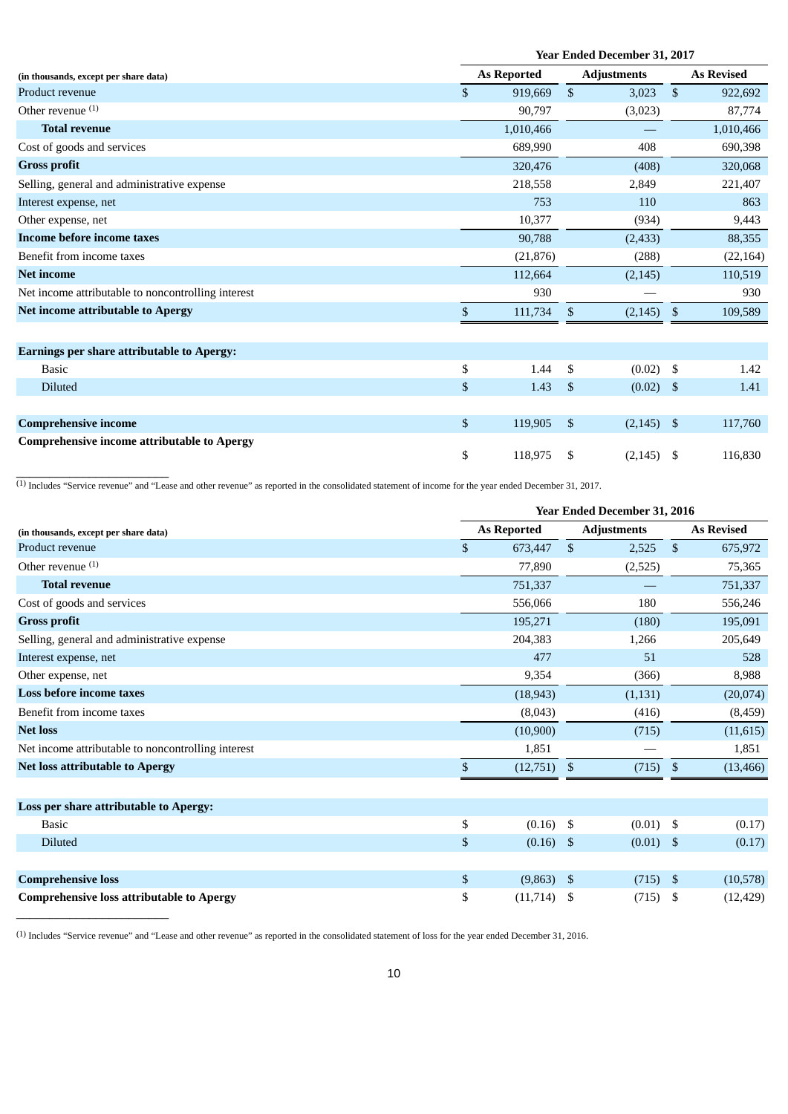|                                                    | <b>Year Ended December 31, 2017</b> |    |                    |      |                   |  |
|----------------------------------------------------|-------------------------------------|----|--------------------|------|-------------------|--|
| (in thousands, except per share data)              | <b>As Reported</b>                  |    | <b>Adjustments</b> |      | <b>As Revised</b> |  |
| Product revenue                                    | \$<br>919,669                       | \$ | 3,023              | \$   | 922,692           |  |
| Other revenue $(1)$                                | 90,797                              |    | (3,023)            |      | 87,774            |  |
| <b>Total revenue</b>                               | 1,010,466                           |    |                    |      | 1,010,466         |  |
| Cost of goods and services                         | 689,990                             |    | 408                |      | 690,398           |  |
| <b>Gross profit</b>                                | 320,476                             |    | (408)              |      | 320,068           |  |
| Selling, general and administrative expense        | 218,558                             |    | 2,849              |      | 221,407           |  |
| Interest expense, net                              | 753                                 |    | 110                |      | 863               |  |
| Other expense, net                                 | 10,377                              |    | (934)              |      | 9,443             |  |
| <b>Income before income taxes</b>                  | 90,788                              |    | (2, 433)           |      | 88,355            |  |
| Benefit from income taxes                          | (21, 876)                           |    | (288)              |      | (22, 164)         |  |
| <b>Net income</b>                                  | 112,664                             |    | (2, 145)           |      | 110,519           |  |
| Net income attributable to noncontrolling interest | 930                                 |    |                    |      | 930               |  |
| <b>Net income attributable to Apergy</b>           | \$<br>111,734                       | \$ | (2, 145)           | - \$ | 109,589           |  |
| <b>Earnings per share attributable to Apergy:</b>  |                                     |    |                    |      |                   |  |
| <b>Basic</b>                                       | \$<br>1.44                          | \$ | $(0.02)$ \$        |      | 1.42              |  |
| Diluted                                            | \$<br>1.43                          | \$ | $(0.02)$ \$        |      | 1.41              |  |
|                                                    |                                     |    |                    |      |                   |  |
| <b>Comprehensive income</b>                        | \$<br>119,905                       | \$ | $(2,145)$ \$       |      | 117,760           |  |
| <b>Comprehensive income attributable to Apergy</b> | \$<br>118,975                       | \$ | (2, 145)           | - \$ | 116.830           |  |

 $^{(1)}$  Includes "Service revenue" and "Lease and other revenue" as reported in the consolidated statement of income for the year ended December 31, 2017.

\_\_\_\_\_\_\_\_\_\_\_\_\_\_\_\_\_\_\_\_\_\_\_

\_\_\_\_\_\_\_\_\_\_\_\_\_\_\_\_\_\_\_\_\_\_\_

|                                                    |    | Year Ended December 31, 2016 |                    |          |                   |           |
|----------------------------------------------------|----|------------------------------|--------------------|----------|-------------------|-----------|
| (in thousands, except per share data)              |    | <b>As Reported</b>           | <b>Adjustments</b> |          | <b>As Revised</b> |           |
| Product revenue                                    | \$ | 673,447                      | $\mathfrak{S}$     | 2,525    | $\mathbb{S}$      | 675,972   |
| Other revenue $(1)$                                |    | 77,890                       |                    | (2,525)  |                   | 75,365    |
| <b>Total revenue</b>                               |    | 751,337                      |                    |          |                   | 751,337   |
| Cost of goods and services                         |    | 556,066                      |                    | 180      |                   | 556,246   |
| <b>Gross profit</b>                                |    | 195,271                      |                    | (180)    |                   | 195,091   |
| Selling, general and administrative expense        |    | 204,383                      |                    | 1,266    |                   | 205,649   |
| Interest expense, net                              |    | 477                          |                    | 51       |                   | 528       |
| Other expense, net                                 |    | 9,354                        |                    | (366)    |                   | 8,988     |
| Loss before income taxes                           |    | (18, 943)                    |                    | (1, 131) |                   | (20,074)  |
| Benefit from income taxes                          |    | (8,043)                      |                    | (416)    |                   | (8, 459)  |
| <b>Net loss</b>                                    |    | (10,900)                     |                    | (715)    |                   | (11, 615) |
| Net income attributable to noncontrolling interest |    | 1,851                        |                    |          |                   | 1,851     |
| <b>Net loss attributable to Apergy</b>             | \$ | (12,751)                     | -\$                | (715)    | \$                | (13, 466) |
|                                                    |    |                              |                    |          |                   |           |
| Loss per share attributable to Apergy:             |    |                              |                    |          |                   |           |
| <b>Basic</b>                                       | \$ | (0.16)                       | \$                 | (0.01)   | \$                | (0.17)    |
| Diluted                                            | \$ | (0.16)                       | $\sqrt{5}$         | (0.01)   | \$                | (0.17)    |
|                                                    |    |                              |                    |          |                   |           |
| <b>Comprehensive loss</b>                          | \$ | (9, 863)                     | <sup>\$</sup>      | (715)    | \$                | (10, 578) |
| <b>Comprehensive loss attributable to Apergy</b>   | \$ | (11, 714)                    | -\$                | (715)    | \$                | (12, 429) |

(1) Includes "Service revenue" and "Lease and other revenue" as reported in the consolidated statement of loss for the year ended December 31, 2016.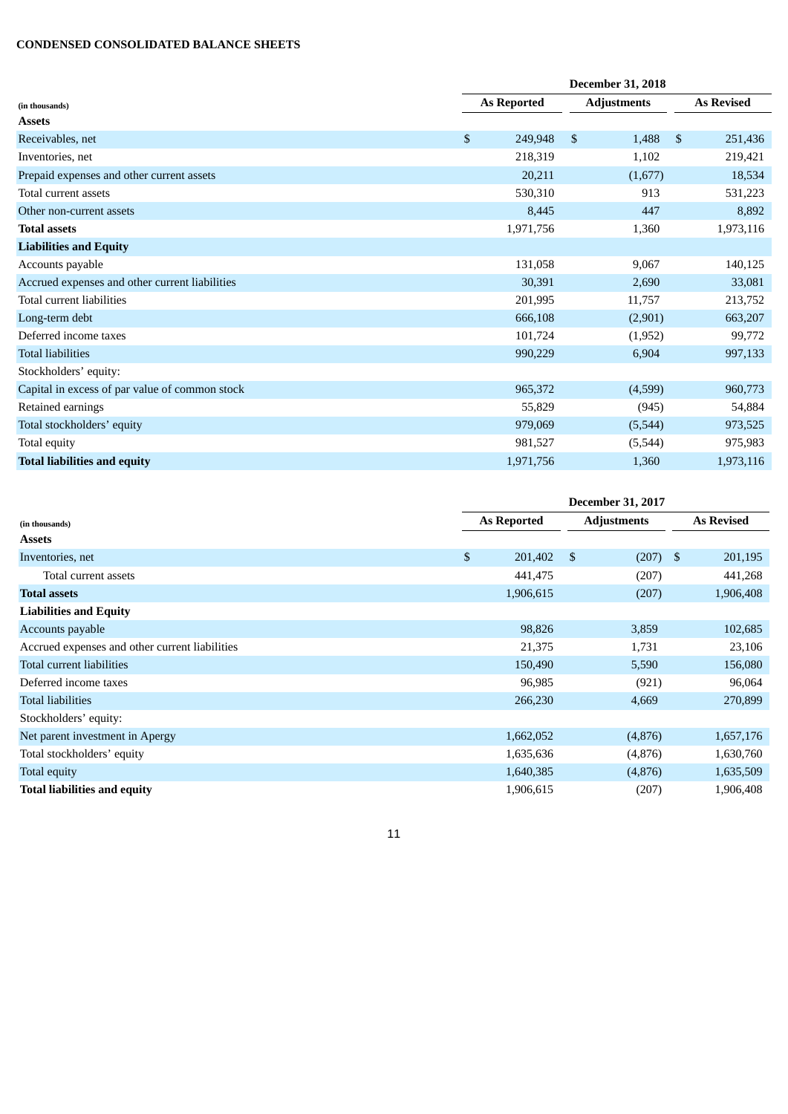## **CONDENSED CONSOLIDATED BALANCE SHEETS**

|                                                | <b>December 31, 2018</b>  |                    |                          |
|------------------------------------------------|---------------------------|--------------------|--------------------------|
| (in thousands)                                 | <b>As Reported</b>        | <b>Adjustments</b> | <b>As Revised</b>        |
| <b>Assets</b>                                  |                           |                    |                          |
| Receivables, net                               | $\mathfrak{S}$<br>249,948 | \$<br>1,488        | <sup>\$</sup><br>251,436 |
| Inventories, net                               | 218,319                   | 1,102              | 219,421                  |
| Prepaid expenses and other current assets      | 20,211                    | (1,677)            | 18,534                   |
| Total current assets                           | 530,310                   | 913                | 531,223                  |
| Other non-current assets                       | 8,445                     | 447                | 8,892                    |
| <b>Total assets</b>                            | 1,971,756                 | 1,360              | 1,973,116                |
| <b>Liabilities and Equity</b>                  |                           |                    |                          |
| Accounts payable                               | 131,058                   | 9,067              | 140,125                  |
| Accrued expenses and other current liabilities | 30,391                    | 2,690              | 33,081                   |
| Total current liabilities                      | 201,995                   | 11,757             | 213,752                  |
| Long-term debt                                 | 666,108                   | (2,901)            | 663,207                  |
| Deferred income taxes                          | 101,724                   | (1,952)            | 99,772                   |
| <b>Total liabilities</b>                       | 990,229                   | 6,904              | 997,133                  |
| Stockholders' equity:                          |                           |                    |                          |
| Capital in excess of par value of common stock | 965,372                   | (4,599)            | 960,773                  |
| Retained earnings                              | 55,829                    | (945)              | 54,884                   |
| Total stockholders' equity                     | 979,069                   | (5, 544)           | 973,525                  |
| Total equity                                   | 981,527                   | (5,544)            | 975,983                  |
| <b>Total liabilities and equity</b>            | 1,971,756                 | 1,360              | 1,973,116                |

|                                                | <b>December 31, 2017</b> |           |                    |            |                   |           |
|------------------------------------------------|--------------------------|-----------|--------------------|------------|-------------------|-----------|
| (in thousands)                                 | As Reported              |           | <b>Adjustments</b> |            | <b>As Revised</b> |           |
| <b>Assets</b>                                  |                          |           |                    |            |                   |           |
| Inventories, net                               | \$                       | 201,402   | \$                 | $(207)$ \$ |                   | 201,195   |
| Total current assets                           |                          | 441,475   |                    | (207)      |                   | 441,268   |
| <b>Total assets</b>                            |                          | 1,906,615 |                    | (207)      |                   | 1,906,408 |
| <b>Liabilities and Equity</b>                  |                          |           |                    |            |                   |           |
| Accounts payable                               |                          | 98,826    |                    | 3,859      |                   | 102,685   |
| Accrued expenses and other current liabilities |                          | 21,375    |                    | 1,731      |                   | 23,106    |
| Total current liabilities                      |                          | 150,490   |                    | 5,590      |                   | 156,080   |
| Deferred income taxes                          |                          | 96,985    |                    | (921)      |                   | 96,064    |
| <b>Total liabilities</b>                       |                          | 266,230   |                    | 4,669      |                   | 270,899   |
| Stockholders' equity:                          |                          |           |                    |            |                   |           |
| Net parent investment in Apergy                |                          | 1,662,052 |                    | (4,876)    |                   | 1,657,176 |
| Total stockholders' equity                     |                          | 1,635,636 |                    | (4,876)    |                   | 1,630,760 |
| Total equity                                   |                          | 1,640,385 |                    | (4,876)    |                   | 1,635,509 |
| <b>Total liabilities and equity</b>            |                          | 1,906,615 |                    | (207)      |                   | 1,906,408 |